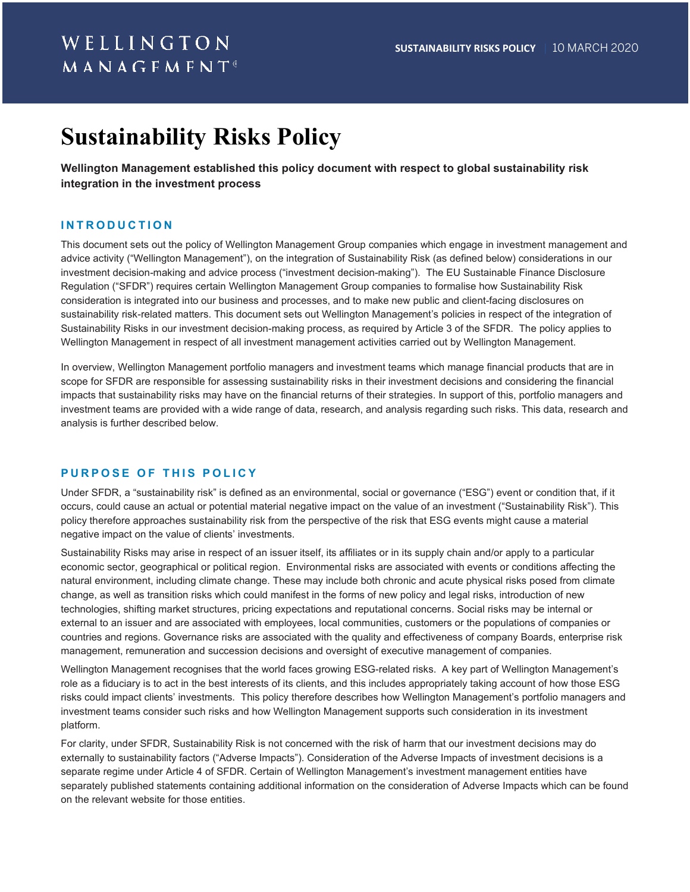# **Sustainability Risks Policy**

**Wellington Management established this policy document with respect to global sustainability risk integration in the investment process**

### **INTRODUCTION**

This document sets out the policy of Wellington Management Group companies which engage in investment management and advice activity ("Wellington Management"), on the integration of Sustainability Risk (as defined below) considerations in our investment decision-making and advice process ("investment decision-making"). The EU Sustainable Finance Disclosure Regulation ("SFDR") requires certain Wellington Management Group companies to formalise how Sustainability Risk consideration is integrated into our business and processes, and to make new public and client-facing disclosures on sustainability risk-related matters. This document sets out Wellington Management's policies in respect of the integration of Sustainability Risks in our investment decision-making process, as required by Article 3 of the SFDR. The policy applies to Wellington Management in respect of all investment management activities carried out by Wellington Management.

In overview, Wellington Management portfolio managers and investment teams which manage financial products that are in scope for SFDR are responsible for assessing sustainability risks in their investment decisions and considering the financial impacts that sustainability risks may have on the financial returns of their strategies. In support of this, portfolio managers and investment teams are provided with a wide range of data, research, and analysis regarding such risks. This data, research and analysis is further described below.

#### **P URPOSE OF THIS POLICY**

Under SFDR, a "sustainability risk" is defined as an environmental, social or governance ("ESG") event or condition that, if it occurs, could cause an actual or potential material negative impact on the value of an investment ("Sustainability Risk"). This policy therefore approaches sustainability risk from the perspective of the risk that ESG events might cause a material negative impact on the value of clients' investments.

Sustainability Risks may arise in respect of an issuer itself, its affiliates or in its supply chain and/or apply to a particular economic sector, geographical or political region. Environmental risks are associated with events or conditions affecting the natural environment, including climate change. These may include both chronic and acute physical risks posed from climate change, as well as transition risks which could manifest in the forms of new policy and legal risks, introduction of new technologies, shifting market structures, pricing expectations and reputational concerns. Social risks may be internal or external to an issuer and are associated with employees, local communities, customers or the populations of companies or countries and regions. Governance risks are associated with the quality and effectiveness of company Boards, enterprise risk management, remuneration and succession decisions and oversight of executive management of companies.

Wellington Management recognises that the world faces growing ESG-related risks. A key part of Wellington Management's role as a fiduciary is to act in the best interests of its clients, and this includes appropriately taking account of how those ESG risks could impact clients' investments. This policy therefore describes how Wellington Management's portfolio managers and investment teams consider such risks and how Wellington Management supports such consideration in its investment platform.

For clarity, under SFDR, Sustainability Risk is not concerned with the risk of harm that our investment decisions may do externally to sustainability factors ("Adverse Impacts"). Consideration of the Adverse Impacts of investment decisions is a separate regime under Article 4 of SFDR. Certain of Wellington Management's investment management entities have separately published statements containing additional information on the consideration of Adverse Impacts which can be found on the relevant website for those entities.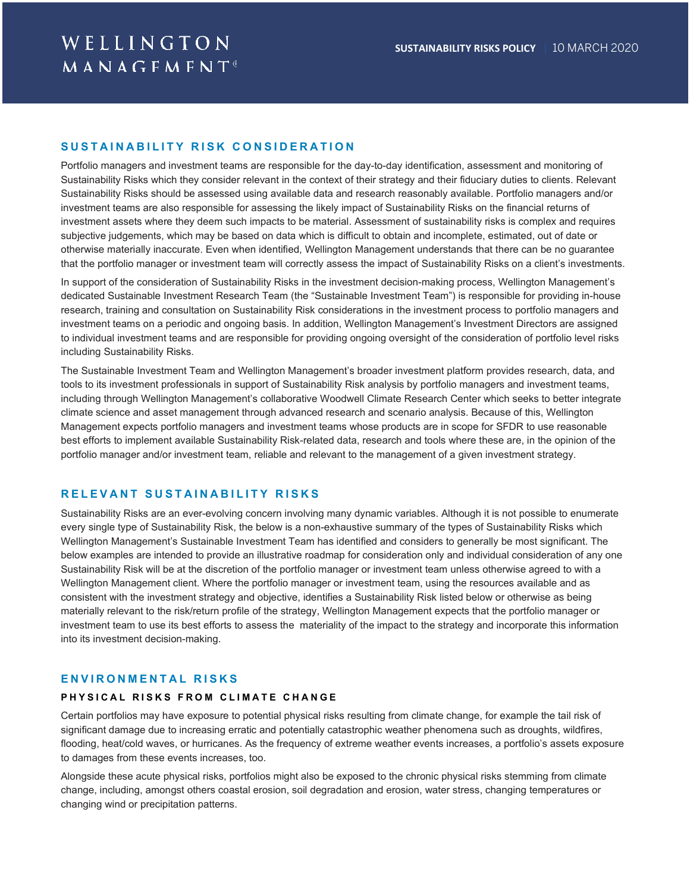### **SUSTAINABILITY RISK CONSIDERATION**

Portfolio managers and investment teams are responsible for the day-to-day identification, assessment and monitoring of Sustainability Risks which they consider relevant in the context of their strategy and their fiduciary duties to clients. Relevant Sustainability Risks should be assessed using available data and research reasonably available. Portfolio managers and/or investment teams are also responsible for assessing the likely impact of Sustainability Risks on the financial returns of investment assets where they deem such impacts to be material. Assessment of sustainability risks is complex and requires subjective judgements, which may be based on data which is difficult to obtain and incomplete, estimated, out of date or otherwise materially inaccurate. Even when identified, Wellington Management understands that there can be no guarantee that the portfolio manager or investment team will correctly assess the impact of Sustainability Risks on a client's investments.

In support of the consideration of Sustainability Risks in the investment decision-making process, Wellington Management's dedicated Sustainable Investment Research Team (the "Sustainable Investment Team") is responsible for providing in-house research, training and consultation on Sustainability Risk considerations in the investment process to portfolio managers and investment teams on a periodic and ongoing basis. In addition, Wellington Management's Investment Directors are assigned to individual investment teams and are responsible for providing ongoing oversight of the consideration of portfolio level risks including Sustainability Risks.

The Sustainable Investment Team and Wellington Management's broader investment platform provides research, data, and tools to its investment professionals in support of Sustainability Risk analysis by portfolio managers and investment teams, including through Wellington Management's collaborative Woodwell Climate Research Center which seeks to better integrate climate science and asset management through advanced research and scenario analysis. Because of this, Wellington Management expects portfolio managers and investment teams whose products are in scope for SFDR to use reasonable best efforts to implement available Sustainability Risk-related data, research and tools where these are, in the opinion of the portfolio manager and/or investment team, reliable and relevant to the management of a given investment strategy.

#### **RELEVANT SUSTAINABILITY RISKS**

Sustainability Risks are an ever-evolving concern involving many dynamic variables. Although it is not possible to enumerate every single type of Sustainability Risk, the below is a non-exhaustive summary of the types of Sustainability Risks which Wellington Management's Sustainable Investment Team has identified and considers to generally be most significant. The below examples are intended to provide an illustrative roadmap for consideration only and individual consideration of any one Sustainability Risk will be at the discretion of the portfolio manager or investment team unless otherwise agreed to with a Wellington Management client. Where the portfolio manager or investment team, using the resources available and as consistent with the investment strategy and objective, identifies a Sustainability Risk listed below or otherwise as being materially relevant to the risk/return profile of the strategy, Wellington Management expects that the portfolio manager or investment team to use its best efforts to assess the materiality of the impact to the strategy and incorporate this information into its investment decision-making.

#### **ENVIRONMENTAL RISKS**

#### **PHYSICAL RISKS FROM CLIMATE CHANGE**

Certain portfolios may have exposure to potential physical risks resulting from climate change, for example the tail risk of significant damage due to increasing erratic and potentially catastrophic weather phenomena such as droughts, wildfires, flooding, heat/cold waves, or hurricanes. As the frequency of extreme weather events increases, a portfolio's assets exposure to damages from these events increases, too.

Alongside these acute physical risks, portfolios might also be exposed to the chronic physical risks stemming from climate change, including, amongst others coastal erosion, soil degradation and erosion, water stress, changing temperatures or changing wind or precipitation patterns.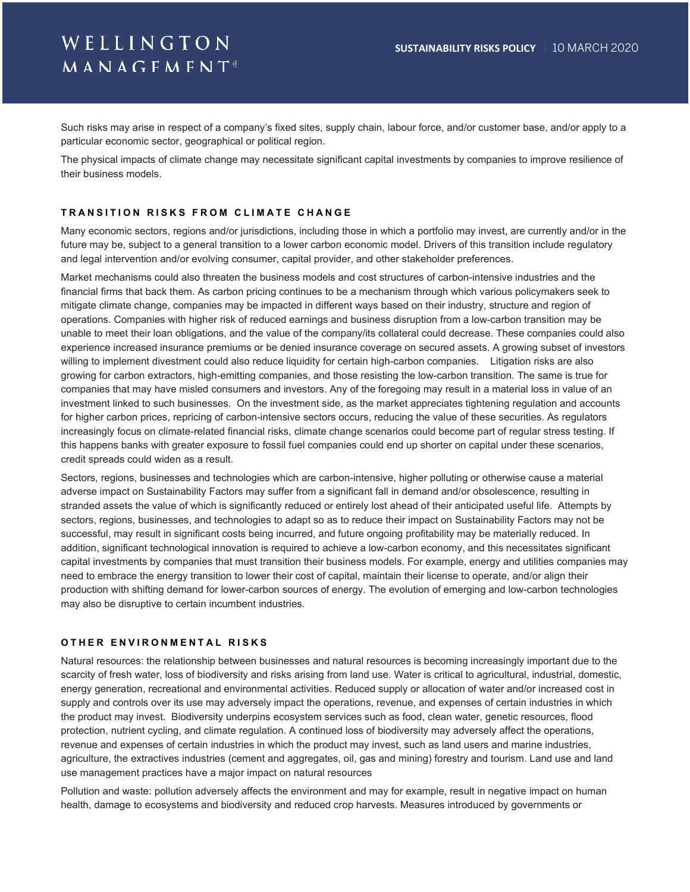# WELLINGTON MANAGFMFNT®

Such risks may arise in respect of a company's fixed sites, supply chain, labour force, and/or customer base, and/or apply to a particular economic sector, geographical or political region.

The physical impacts of climate change may necessitate significant capital investments by companies to improve resilience of their business models.

#### **T RANSITION RISKS FROM CLIMATE CHANGE**

Many economic sectors, regions and/or jurisdictions, including those in which a portfolio may invest, are currently and/or in the future may be, subject to a general transition to a lower carbon economic model. Drivers of this transition include regulatory and legal intervention and/or evolving consumer, capital provider, and other stakeholder preferences.

Market mechanisms could also threaten the business models and cost structures of carbon-intensive industries and the financial firms that back them. As carbon pricing continues to be a mechanism through which various policymakers seek to mitigate climate change, companies may be impacted in different ways based on their industry, structure and region of operations. Companies with higher risk of reduced earnings and business disruption from a low-carbon transition may be unable to meet their loan obligations, and the value of the company/its collateral could decrease. These companies could also experience increased insurance premiums or be denied insurance coverage on secured assets. A growing subset of investors willing to implement divestment could also reduce liquidity for certain high-carbon companies. Litigation risks are also growing for carbon extractors, high-emitting companies, and those resisting the low-carbon transition. The same is true for companies that may have misled consumers and investors. Any of the foregoing may result in a material loss in value of an investment linked to such businesses. On the investment side, as the market appreciates tightening regulation and accounts for higher carbon prices, repricing of carbon-intensive sectors occurs, reducing the value of these securities. As regulators increasingly focus on climate-related financial risks, climate change scenarios could become part of regular stress testing. If this happens banks with greater exposure to fossil fuel companies could end up shorter on capital under these scenarios, credit spreads could widen as a result.

Sectors, regions, businesses and technologies which are carbon-intensive, higher polluting or otherwise cause a material adverse impact on Sustainability Factors may suffer from a significant fall in demand and/or obsolescence, resulting in stranded assets the value of which is significantly reduced or entirely lost ahead of their anticipated useful life. Attempts by sectors, regions, businesses, and technologies to adapt so as to reduce their impact on Sustainability Factors may not be successful, may result in significant costs being incurred, and future ongoing profitability may be materially reduced. In addition, significant technological innovation is required to achieve a low-carbon economy, and this necessitates significant capital investments by companies that must transition their business models. For example, energy and utilities companies may need to embrace the energy transition to lower their cost of capital, maintain their license to operate, and/or align their production with shifting demand for lower-carbon sources of energy. The evolution of emerging and low-carbon technologies may also be disruptive to certain incumbent industries.

#### **O THER ENVIRONMENTAL RISKS**

Natural resources: the relationship between businesses and natural resources is becoming increasingly important due to the scarcity of fresh water, loss of biodiversity and risks arising from land use. Water is critical to agricultural, industrial, domestic, energy generation, recreational and environmental activities. Reduced supply or allocation of water and/or increased cost in supply and controls over its use may adversely impact the operations, revenue, and expenses of certain industries in which the product may invest. Biodiversity underpins ecosystem services such as food, clean water, genetic resources, flood protection, nutrient cycling, and climate regulation. A continued loss of biodiversity may adversely affect the operations, revenue and expenses of certain industries in which the product may invest, such as land users and marine industries, agriculture, the extractives industries (cement and aggregates, oil, gas and mining) forestry and tourism. Land use and land use management practices have a major impact on natural resources

Pollution and waste: pollution adversely affects the environment and may for example, result in negative impact on human health, damage to ecosystems and biodiversity and reduced crop harvests. Measures introduced by governments or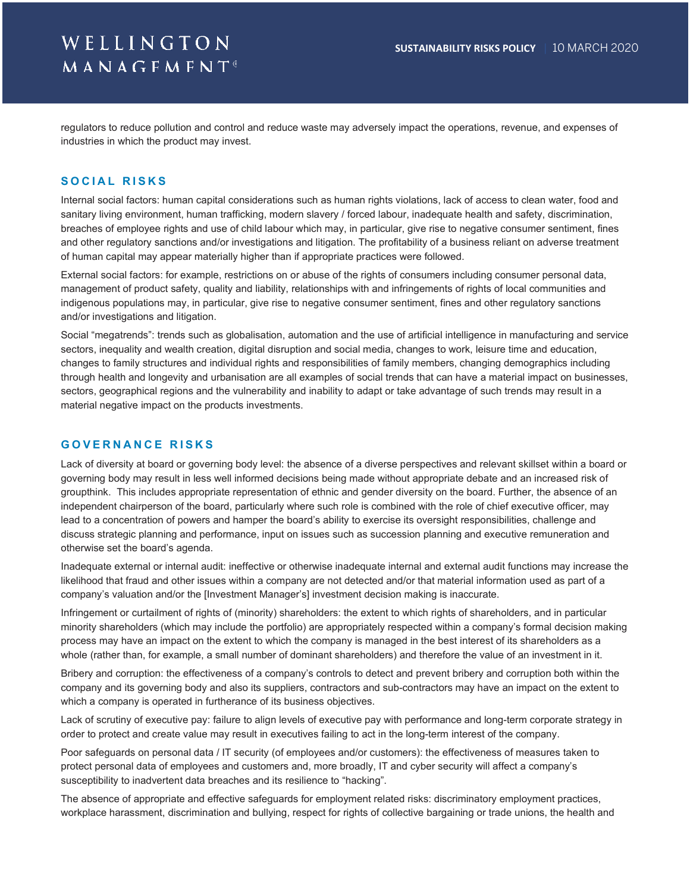# WELLINGTON **MANAGFMFNT**®

regulators to reduce pollution and control and reduce waste may adversely impact the operations, revenue, and expenses of industries in which the product may invest.

#### **SOCIAL RISKS**

Internal social factors: human capital considerations such as human rights violations, lack of access to clean water, food and sanitary living environment, human trafficking, modern slavery / forced labour, inadequate health and safety, discrimination, breaches of employee rights and use of child labour which may, in particular, give rise to negative consumer sentiment, fines and other regulatory sanctions and/or investigations and litigation. The profitability of a business reliant on adverse treatment of human capital may appear materially higher than if appropriate practices were followed.

External social factors: for example, restrictions on or abuse of the rights of consumers including consumer personal data, management of product safety, quality and liability, relationships with and infringements of rights of local communities and indigenous populations may, in particular, give rise to negative consumer sentiment, fines and other regulatory sanctions and/or investigations and litigation.

Social "megatrends": trends such as globalisation, automation and the use of artificial intelligence in manufacturing and service sectors, inequality and wealth creation, digital disruption and social media, changes to work, leisure time and education, changes to family structures and individual rights and responsibilities of family members, changing demographics including through health and longevity and urbanisation are all examples of social trends that can have a material impact on businesses, sectors, geographical regions and the vulnerability and inability to adapt or take advantage of such trends may result in a material negative impact on the products investments.

### **G OVERNANCE RISKS**

Lack of diversity at board or governing body level: the absence of a diverse perspectives and relevant skillset within a board or governing body may result in less well informed decisions being made without appropriate debate and an increased risk of groupthink. This includes appropriate representation of ethnic and gender diversity on the board. Further, the absence of an independent chairperson of the board, particularly where such role is combined with the role of chief executive officer, may lead to a concentration of powers and hamper the board's ability to exercise its oversight responsibilities, challenge and discuss strategic planning and performance, input on issues such as succession planning and executive remuneration and otherwise set the board's agenda.

Inadequate external or internal audit: ineffective or otherwise inadequate internal and external audit functions may increase the likelihood that fraud and other issues within a company are not detected and/or that material information used as part of a company's valuation and/or the [Investment Manager's] investment decision making is inaccurate.

Infringement or curtailment of rights of (minority) shareholders: the extent to which rights of shareholders, and in particular minority shareholders (which may include the portfolio) are appropriately respected within a company's formal decision making process may have an impact on the extent to which the company is managed in the best interest of its shareholders as a whole (rather than, for example, a small number of dominant shareholders) and therefore the value of an investment in it.

Bribery and corruption: the effectiveness of a company's controls to detect and prevent bribery and corruption both within the company and its governing body and also its suppliers, contractors and sub-contractors may have an impact on the extent to which a company is operated in furtherance of its business objectives.

Lack of scrutiny of executive pay: failure to align levels of executive pay with performance and long-term corporate strategy in order to protect and create value may result in executives failing to act in the long-term interest of the company.

Poor safeguards on personal data / IT security (of employees and/or customers): the effectiveness of measures taken to protect personal data of employees and customers and, more broadly, IT and cyber security will affect a company's susceptibility to inadvertent data breaches and its resilience to "hacking".

The absence of appropriate and effective safeguards for employment related risks: discriminatory employment practices, workplace harassment, discrimination and bullying, respect for rights of collective bargaining or trade unions, the health and